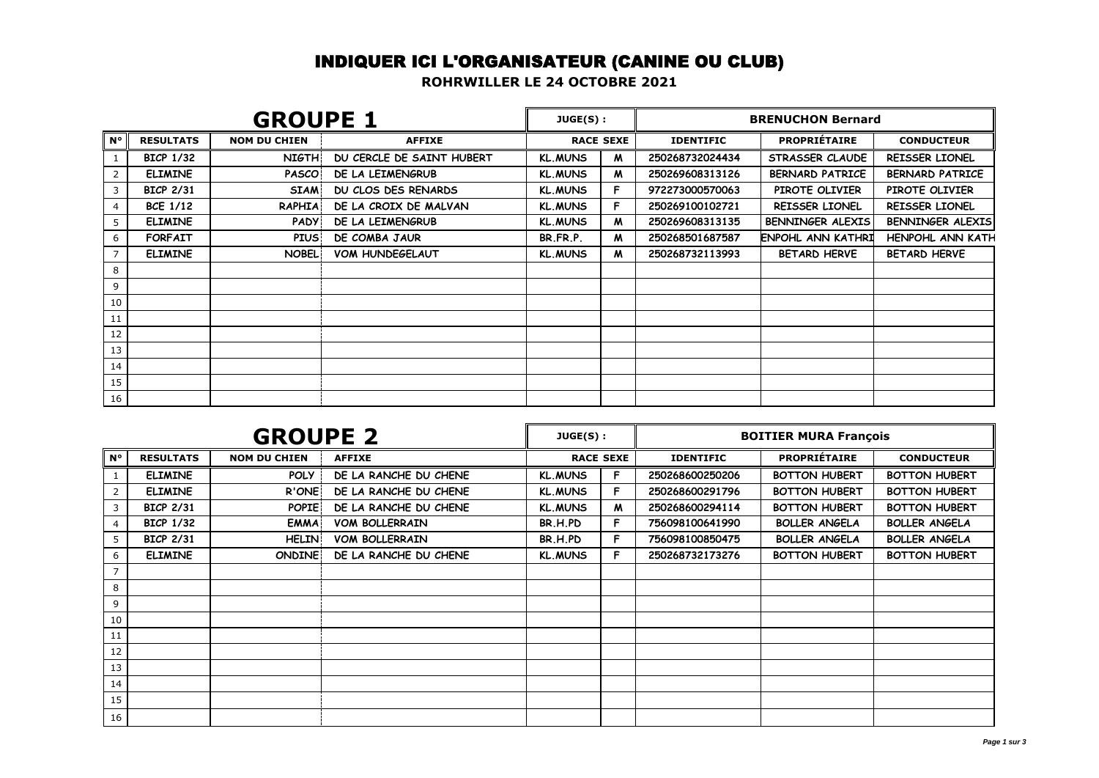## INDIQUER ICI L'ORGANISATEUR (CANINE OU CLUB)

**ROHRWILLER LE 24 OCTOBRE 2021**

| <b>GROUPE 1</b> |                  |                     |                           |                | JUGE(S):         | <b>BRENUCHON Bernard</b> |                          |                         |
|-----------------|------------------|---------------------|---------------------------|----------------|------------------|--------------------------|--------------------------|-------------------------|
| l N°            | <b>RESULTATS</b> | <b>NOM DU CHIEN</b> | <b>AFFIXE</b>             |                | <b>RACE SEXE</b> | <b>IDENTIFIC</b>         | <b>PROPRIÉTAIRE</b>      | <b>CONDUCTEUR</b>       |
|                 | <b>BICP 1/32</b> | <b>NIGTH</b>        | DU CERCLE DE SAINT HUBERT | <b>KL.MUNS</b> | M                | 250268732024434          | STRASSER CLAUDE          | REISSER LIONEL          |
| 2               | <b>ELIMINE</b>   | <b>PASCO</b>        | DE LA LEIMENGRUB          | <b>KL.MUNS</b> | M                | 250269608313126          | <b>BERNARD PATRICE</b>   | <b>BERNARD PATRICE</b>  |
| 3               | <b>BICP 2/31</b> | <b>SIAM</b>         | DU CLOS DES RENARDS       | <b>KL.MUNS</b> | F.               | 972273000570063          | PIROTE OLIVIER           | PIROTE OLIVIER          |
| 4               | <b>BCE 1/12</b>  | <b>RAPHIA</b>       | DE LA CROIX DE MALVAN     | <b>KL.MUNS</b> | F.               | 250269100102721          | REISSER LIONEL           | REISSER LIONEL          |
| 5               | <b>ELIMINE</b>   | <b>PADY</b>         | DE LA LEIMENGRUB          | <b>KL.MUNS</b> | M                | 250269608313135          | BENNINGER ALEXIS         | BENNINGER ALEXIS        |
| 6               | <b>FORFAIT</b>   | <b>PIUS</b>         | DE COMBA JAUR             | BR.FR.P.       | M                | 250268501687587          | <b>ENPOHL ANN KATHRI</b> | <b>HENPOHL ANN KATH</b> |
|                 | <b>ELIMINE</b>   | <b>NOBEL</b>        | <b>VOM HUNDEGELAUT</b>    | <b>KL.MUNS</b> | M                | 250268732113993          | <b>BETARD HERVE</b>      | <b>BETARD HERVE</b>     |
| 8               |                  |                     |                           |                |                  |                          |                          |                         |
| 9               |                  |                     |                           |                |                  |                          |                          |                         |
| 10              |                  |                     |                           |                |                  |                          |                          |                         |
| 11              |                  |                     |                           |                |                  |                          |                          |                         |
| 12              |                  |                     |                           |                |                  |                          |                          |                         |
| 13              |                  |                     |                           |                |                  |                          |                          |                         |
| 14              |                  |                     |                           |                |                  |                          |                          |                         |
| 15              |                  |                     |                           |                |                  |                          |                          |                         |
| 16              |                  |                     |                           |                |                  |                          |                          |                         |

|              | <b>GROUPE 2</b>  |                     |                       |                     | JUGE(S): | <b>BOITIER MURA François</b> |                      |                      |  |
|--------------|------------------|---------------------|-----------------------|---------------------|----------|------------------------------|----------------------|----------------------|--|
| l N°         | <b>RESULTATS</b> | <b>NOM DU CHIEN</b> | <b>AFFIXE</b>         | <b>RACE SEXE</b>    |          | <b>IDENTIFIC</b>             | <b>PROPRIÉTAIRE</b>  | <b>CONDUCTEUR</b>    |  |
|              | <b>ELIMINE</b>   | <b>POLY</b>         | DE LA RANCHE DU CHENE | <b>KL.MUNS</b>      |          | 250268600250206              | <b>BOTTON HUBERT</b> | <b>BOTTON HUBERT</b> |  |
| $\mathbf{2}$ | <b>ELIMINE</b>   | R'ONE               | DE LA RANCHE DU CHENE | <b>KL.MUNS</b>      |          | 250268600291796              | <b>BOTTON HUBERT</b> | <b>BOTTON HUBERT</b> |  |
| 3            | <b>BICP 2/31</b> | <b>POPIE</b>        | DE LA RANCHE DU CHENE | <b>KL.MUNS</b><br>M |          | 250268600294114              | <b>BOTTON HUBERT</b> | <b>BOTTON HUBERT</b> |  |
| 4            | <b>BICP 1/32</b> | <b>EMMA</b>         | <b>VOM BOLLERRAIN</b> | BR.H.PD<br>F.       |          | 756098100641990              | <b>BOLLER ANGELA</b> | <b>BOLLER ANGELA</b> |  |
| 5            | <b>BICP 2/31</b> | <b>HELIN</b>        | <b>VOM BOLLERRAIN</b> | BR.H.PD<br>Е        |          | 756098100850475              | <b>BOLLER ANGELA</b> | <b>BOLLER ANGELA</b> |  |
| 6            | <b>ELIMINE</b>   | <b>ONDINE</b>       | DE LA RANCHE DU CHENE | <b>KL.MUNS</b>      | Е        | 250268732173276              | <b>BOTTON HUBERT</b> | <b>BOTTON HUBERT</b> |  |
|              |                  |                     |                       |                     |          |                              |                      |                      |  |
| 8            |                  |                     |                       |                     |          |                              |                      |                      |  |
| 9            |                  |                     |                       |                     |          |                              |                      |                      |  |
| 10           |                  |                     |                       |                     |          |                              |                      |                      |  |
| 11           |                  |                     |                       |                     |          |                              |                      |                      |  |
| 12           |                  |                     |                       |                     |          |                              |                      |                      |  |
| 13           |                  |                     |                       |                     |          |                              |                      |                      |  |
| 14           |                  |                     |                       |                     |          |                              |                      |                      |  |
| 15           |                  |                     |                       |                     |          |                              |                      |                      |  |
| 16           |                  |                     |                       |                     |          |                              |                      |                      |  |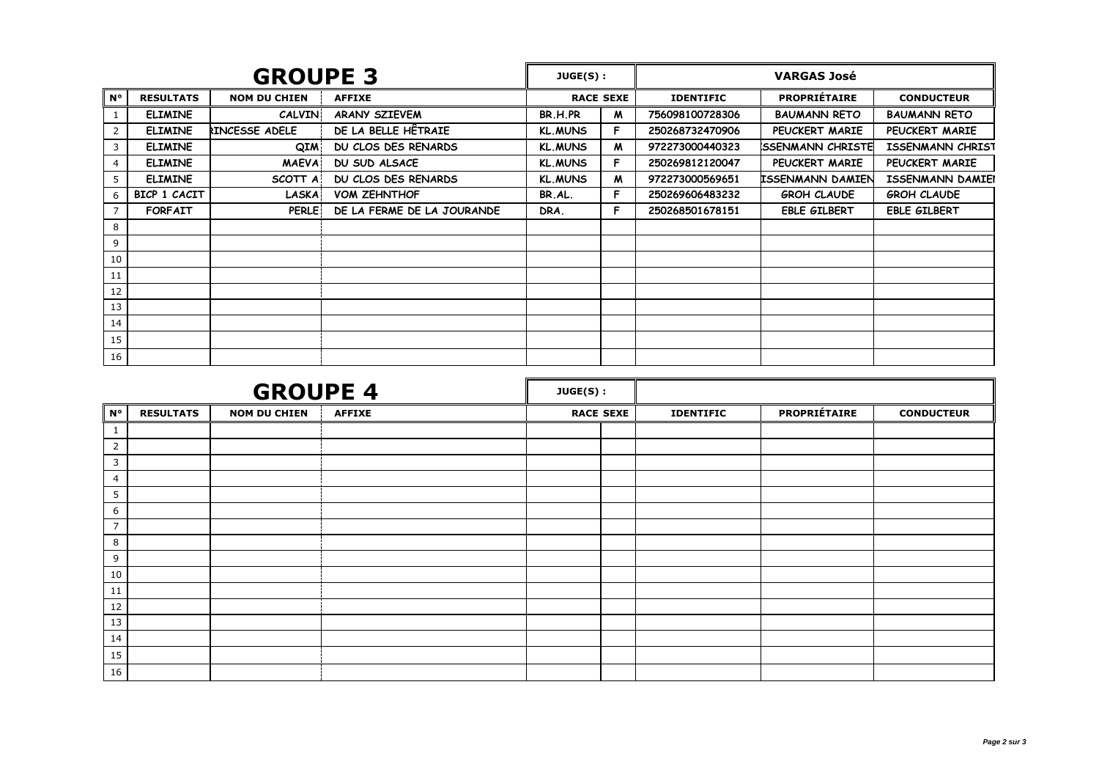| <b>GROUPE 3</b> |                  |                     |                            |                | JUGE(S):         | <b>VARGAS José</b> |                          |                         |  |
|-----------------|------------------|---------------------|----------------------------|----------------|------------------|--------------------|--------------------------|-------------------------|--|
| $N^{\circ}$     | <b>RESULTATS</b> | <b>NOM DU CHIEN</b> | <b>AFFIXE</b>              |                | <b>RACE SEXE</b> | <b>IDENTIFIC</b>   | <b>PROPRIÉTAIRE</b>      | <b>CONDUCTEUR</b>       |  |
|                 | <b>ELIMINE</b>   | <b>CALVIN</b>       | ARANY SZIEVEM              | BR.H.PR        | M                | 756098100728306    | <b>BAUMANN RETO</b>      | <b>BAUMANN RETO</b>     |  |
| 2               | <b>ELIMINE</b>   | RINCESSE ADELE      | DE LA BELLE HÊTRAIE        | <b>KL.MUNS</b> | F                | 250268732470906    | PEUCKERT MARIE           | PEUCKERT MARIE          |  |
| 3               | <b>ELIMINE</b>   | QIM                 | DU CLOS DES RENARDS        | <b>KL.MUNS</b> | M                | 972273000440323    | <b>ISSENMANN CHRISTE</b> | <b>ISSENMANN CHRIST</b> |  |
| 4               | <b>ELIMINE</b>   | <b>MAEVA</b>        | <b>DU SUD ALSACE</b>       | <b>KL.MUNS</b> | F                | 250269812120047    | PEUCKERT MARIE           | PEUCKERT MARIE          |  |
| 5               | <b>ELIMINE</b>   | SCOTT A             | DU CLOS DES RENARDS        | <b>KL.MUNS</b> | M                | 972273000569651    | <b>ISSENMANN DAMIEN</b>  | <b>ISSENMANN DAMIEI</b> |  |
| 6               | BICP 1 CACIT     | LASKA               | <b>VOM ZEHNTHOF</b>        | BR.AL.         | F                | 250269606483232    | <b>GROH CLAUDE</b>       | <b>GROH CLAUDE</b>      |  |
|                 | <b>FORFAIT</b>   | <b>PERLE</b>        | DE LA FERME DE LA JOURANDE | DRA.           | F                | 250268501678151    | <b>EBLE GILBERT</b>      | <b>EBLE GILBERT</b>     |  |
| 8               |                  |                     |                            |                |                  |                    |                          |                         |  |
| 9               |                  |                     |                            |                |                  |                    |                          |                         |  |
| 10              |                  |                     |                            |                |                  |                    |                          |                         |  |
| 11              |                  |                     |                            |                |                  |                    |                          |                         |  |
| 12              |                  |                     |                            |                |                  |                    |                          |                         |  |
| 13              |                  |                     |                            |                |                  |                    |                          |                         |  |
| 14              |                  |                     |                            |                |                  |                    |                          |                         |  |
| 15              |                  |                     |                            |                |                  |                    |                          |                         |  |
| 16              |                  |                     |                            |                |                  |                    |                          |                         |  |

|                | <b>GROUPE 4</b>  |                     |               | $JUGE(S)$ : |                  |                  |                     |                   |
|----------------|------------------|---------------------|---------------|-------------|------------------|------------------|---------------------|-------------------|
| $N^{\circ}$    | <b>RESULTATS</b> | <b>NOM DU CHIEN</b> | <b>AFFIXE</b> |             | <b>RACE SEXE</b> | <b>IDENTIFIC</b> | <b>PROPRIÉTAIRE</b> | <b>CONDUCTEUR</b> |
|                |                  |                     |               |             |                  |                  |                     |                   |
| 2              |                  |                     |               |             |                  |                  |                     |                   |
| 3              |                  |                     |               |             |                  |                  |                     |                   |
| 4              |                  |                     |               |             |                  |                  |                     |                   |
| 5              |                  |                     |               |             |                  |                  |                     |                   |
| 6              |                  |                     |               |             |                  |                  |                     |                   |
| $\overline{7}$ |                  |                     |               |             |                  |                  |                     |                   |
| 8              |                  |                     |               |             |                  |                  |                     |                   |
| 9              |                  |                     |               |             |                  |                  |                     |                   |
| 10             |                  |                     |               |             |                  |                  |                     |                   |
| 11             |                  |                     |               |             |                  |                  |                     |                   |
| 12             |                  |                     |               |             |                  |                  |                     |                   |
| 13             |                  |                     |               |             |                  |                  |                     |                   |
| 14             |                  |                     |               |             |                  |                  |                     |                   |
| 15             |                  |                     |               |             |                  |                  |                     |                   |
| 16             |                  |                     |               |             |                  |                  |                     |                   |